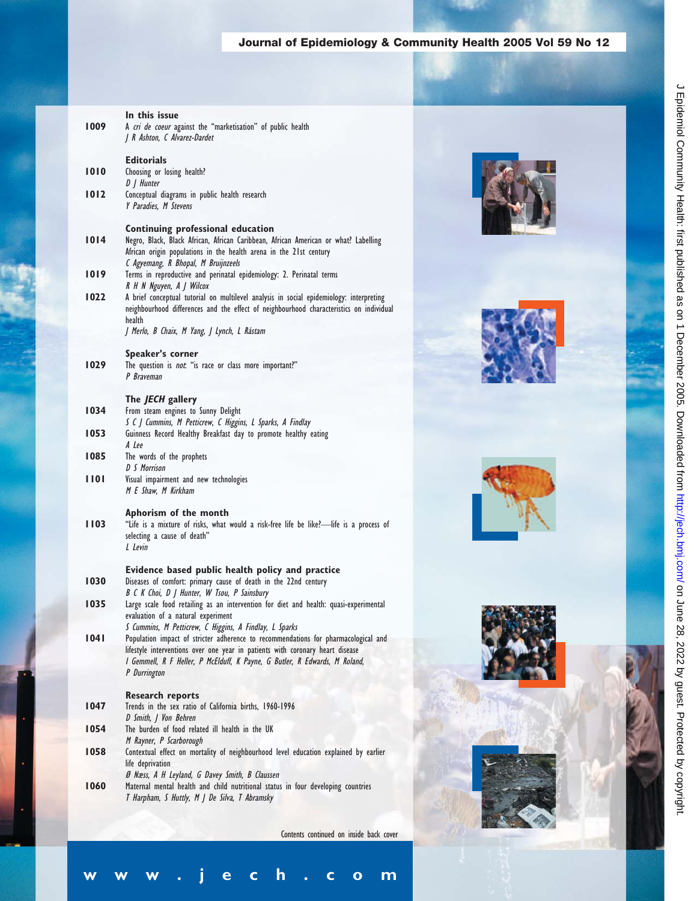## **Journal of Epidemiology & Community Health 2005 Vol 59 No 12**

| 1009 | In this issue<br>A cri de coeur against the "marketisation" of public health<br>J R Ashton, C Alvarez-Dardet                                                                                                                          |  |
|------|---------------------------------------------------------------------------------------------------------------------------------------------------------------------------------------------------------------------------------------|--|
| 1010 | <b>Editorials</b><br>Choosing or losing health?<br>D / Hunter                                                                                                                                                                         |  |
| 1012 | Conceptual diagrams in public health research<br>Y Paradies, M Stevens                                                                                                                                                                |  |
| 1014 | Continuing professional education<br>Negro, Black, Black African, African Caribbean, African American or what? Labelling<br>African origin populations in the health arena in the 21st century<br>C Agyemang, R Bhopal, M Bruijnzeels |  |
| 1019 | Terms in reproductive and perinatal epidemiology: 2. Perinatal terms<br>R H N Nguyen, A J Wilcox                                                                                                                                      |  |
| 1022 | A brief conceptual tutorial on multilevel analysis in social epidemiology: interpreting<br>neighbourhood differences and the effect of neighbourhood characteristics on individual<br>health                                          |  |
|      | J Merlo, B Chaix, M Yang, J Lynch, L Råstam                                                                                                                                                                                           |  |
|      | Speaker's corner                                                                                                                                                                                                                      |  |
| 1029 | The question is not: "is race or class more important?"<br>P Braveman                                                                                                                                                                 |  |
|      | The JECH gallery                                                                                                                                                                                                                      |  |
| 1034 | From steam engines to Sunny Delight                                                                                                                                                                                                   |  |
| 1053 | S C J Cummins, M Petticrew, C Higgins, L Sparks, A Findlay<br>Guinness Record Healthy Breakfast day to promote healthy eating<br>A Lee                                                                                                |  |
| 1085 | The words of the prophets<br>D S Morrison                                                                                                                                                                                             |  |
| 1101 | Visual impairment and new technologies<br>M E Shaw, M Kirkham                                                                                                                                                                         |  |
| 1103 | Aphorism of the month<br>"Life is a mixture of risks, what would a risk-free life be like?-life is a process of<br>selecting a cause of death"<br>L Levin                                                                             |  |
| 1030 | Evidence based public health policy and practice<br>Diseases of comfort: primary cause of death in the 22nd century                                                                                                                   |  |
| 1035 | B C K Choi, D J Hunter, W Tsou, P Sainsbury<br>Large scale food retailing as an intervention for diet and health: quasi-experimental                                                                                                  |  |
|      | evaluation of a natural experiment<br>S Cummins, M Petticrew, C Higgins, A Findlay, L Sparks                                                                                                                                          |  |
| 1041 | Population impact of stricter adherence to recommendations for pharmacological and<br>lifestyle interventions over one year in patients with coronary heart disease                                                                   |  |
|      | I Gemmell, R F Heller, P McElduff, K Payne, G Butler, R Edwards, M Roland,<br>P Durrington                                                                                                                                            |  |
|      | <b>Research reports</b>                                                                                                                                                                                                               |  |
| 1047 | Trends in the sex ratio of California births, 1960-1996<br>D Smith, J Von Behren                                                                                                                                                      |  |
| 1054 | The burden of food related ill health in the UK<br>M Rayner, P Scarborough                                                                                                                                                            |  |
| 1058 | Contextual effect on mortality of neighbourhood level education explained by earlier<br>life deprivation                                                                                                                              |  |
| 1060 | Ø Næss, A H Leyland, G Davey Smith, B Claussen<br>Maternal mental health and child nutritional status in four developing countries<br>T Harpham, S Huttly, M J De Silva, T Abramsky                                                   |  |
|      |                                                                                                                                                                                                                                       |  |

Contents continued on inside back cover